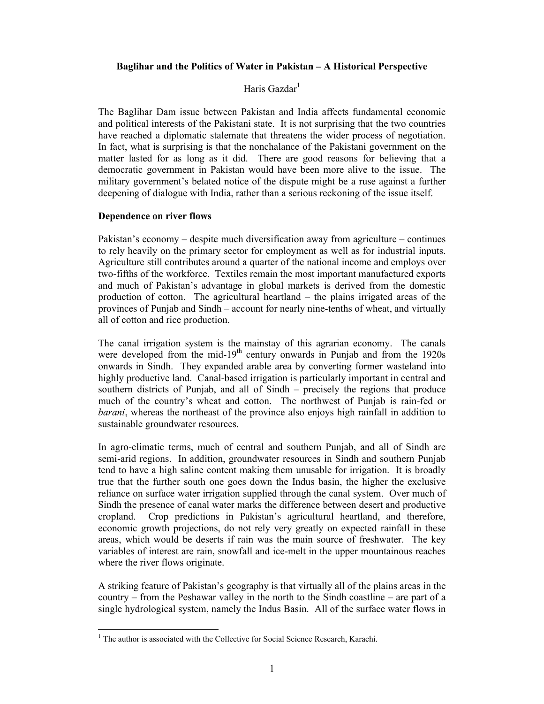## **Baglihar and the Politics of Water in Pakistan – A Historical Perspective**

# Haris Gazdar $<sup>1</sup>$ </sup>

The Baglihar Dam issue between Pakistan and India affects fundamental economic and political interests of the Pakistani state. It is not surprising that the two countries have reached a diplomatic stalemate that threatens the wider process of negotiation. In fact, what is surprising is that the nonchalance of the Pakistani government on the matter lasted for as long as it did. There are good reasons for believing that a democratic government in Pakistan would have been more alive to the issue. The military government's belated notice of the dispute might be a ruse against a further deepening of dialogue with India, rather than a serious reckoning of the issue itself.

#### **Dependence on river flows**

Pakistan's economy – despite much diversification away from agriculture – continues to rely heavily on the primary sector for employment as well as for industrial inputs. Agriculture still contributes around a quarter of the national income and employs over two-fifths of the workforce. Textiles remain the most important manufactured exports and much of Pakistan's advantage in global markets is derived from the domestic production of cotton. The agricultural heartland – the plains irrigated areas of the provinces of Punjab and Sindh – account for nearly nine-tenths of wheat, and virtually all of cotton and rice production.

The canal irrigation system is the mainstay of this agrarian economy. The canals were developed from the mid-19<sup>th</sup> century onwards in Punjab and from the 1920s onwards in Sindh. They expanded arable area by converting former wasteland into highly productive land. Canal-based irrigation is particularly important in central and southern districts of Punjab, and all of Sindh – precisely the regions that produce much of the country's wheat and cotton. The northwest of Punjab is rain-fed or *barani*, whereas the northeast of the province also enjoys high rainfall in addition to sustainable groundwater resources.

In agro-climatic terms, much of central and southern Punjab, and all of Sindh are semi-arid regions. In addition, groundwater resources in Sindh and southern Punjab tend to have a high saline content making them unusable for irrigation. It is broadly true that the further south one goes down the Indus basin, the higher the exclusive reliance on surface water irrigation supplied through the canal system. Over much of Sindh the presence of canal water marks the difference between desert and productive cropland. Crop predictions in Pakistan's agricultural heartland, and therefore, economic growth projections, do not rely very greatly on expected rainfall in these areas, which would be deserts if rain was the main source of freshwater. The key variables of interest are rain, snowfall and ice-melt in the upper mountainous reaches where the river flows originate.

A striking feature of Pakistan's geography is that virtually all of the plains areas in the country – from the Peshawar valley in the north to the Sindh coastline – are part of a single hydrological system, namely the Indus Basin. All of the surface water flows in

 $\frac{1}{1}$ <sup>1</sup> The author is associated with the Collective for Social Science Research, Karachi.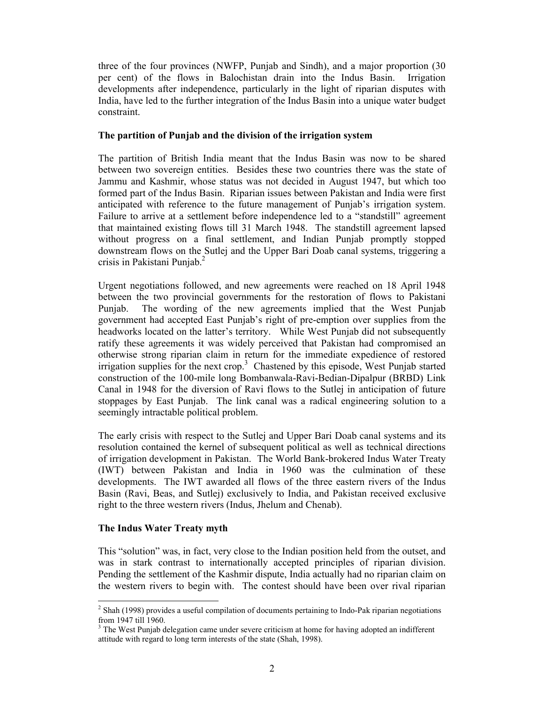three of the four provinces (NWFP, Punjab and Sindh), and a major proportion (30 per cent) of the flows in Balochistan drain into the Indus Basin. Irrigation developments after independence, particularly in the light of riparian disputes with India, have led to the further integration of the Indus Basin into a unique water budget constraint.

## **The partition of Punjab and the division of the irrigation system**

The partition of British India meant that the Indus Basin was now to be shared between two sovereign entities. Besides these two countries there was the state of Jammu and Kashmir, whose status was not decided in August 1947, but which too formed part of the Indus Basin. Riparian issues between Pakistan and India were first anticipated with reference to the future management of Punjab's irrigation system. Failure to arrive at a settlement before independence led to a "standstill" agreement that maintained existing flows till 31 March 1948. The standstill agreement lapsed without progress on a final settlement, and Indian Punjab promptly stopped downstream flows on the Sutlej and the Upper Bari Doab canal systems, triggering a crisis in Pakistani Punjab.2

Urgent negotiations followed, and new agreements were reached on 18 April 1948 between the two provincial governments for the restoration of flows to Pakistani Punjab. The wording of the new agreements implied that the West Punjab government had accepted East Punjab's right of pre-emption over supplies from the headworks located on the latter's territory. While West Punjab did not subsequently ratify these agreements it was widely perceived that Pakistan had compromised an otherwise strong riparian claim in return for the immediate expedience of restored irrigation supplies for the next crop.<sup>3</sup> Chastened by this episode, West Punjab started construction of the 100-mile long Bombanwala-Ravi-Bedian-Dipalpur (BRBD) Link Canal in 1948 for the diversion of Ravi flows to the Sutlej in anticipation of future stoppages by East Punjab. The link canal was a radical engineering solution to a seemingly intractable political problem.

The early crisis with respect to the Sutlej and Upper Bari Doab canal systems and its resolution contained the kernel of subsequent political as well as technical directions of irrigation development in Pakistan. The World Bank-brokered Indus Water Treaty (IWT) between Pakistan and India in 1960 was the culmination of these developments. The IWT awarded all flows of the three eastern rivers of the Indus Basin (Ravi, Beas, and Sutlej) exclusively to India, and Pakistan received exclusive right to the three western rivers (Indus, Jhelum and Chenab).

# **The Indus Water Treaty myth**

This "solution" was, in fact, very close to the Indian position held from the outset, and was in stark contrast to internationally accepted principles of riparian division. Pending the settlement of the Kashmir dispute, India actually had no riparian claim on the western rivers to begin with. The contest should have been over rival riparian

 $\frac{1}{2}$  $2$  Shah (1998) provides a useful compilation of documents pertaining to Indo-Pak riparian negotiations from 1947 till 1960.

 $3$  The West Punjab delegation came under severe criticism at home for having adopted an indifferent attitude with regard to long term interests of the state (Shah, 1998).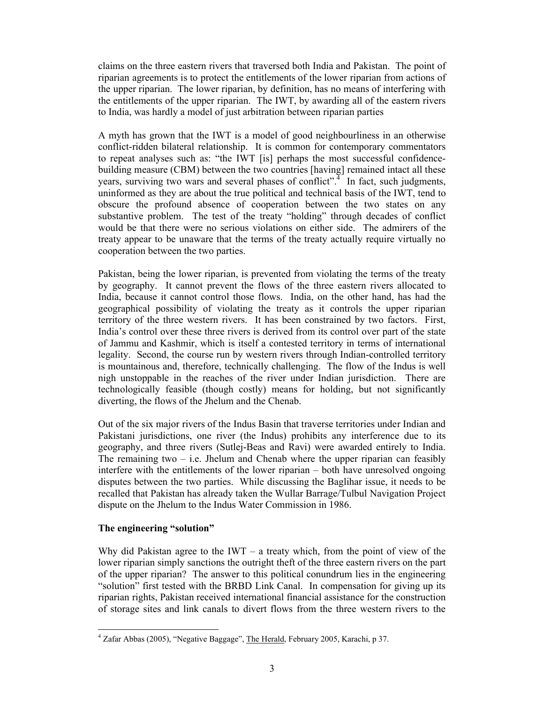claims on the three eastern rivers that traversed both India and Pakistan. The point of riparian agreements is to protect the entitlements of the lower riparian from actions of the upper riparian. The lower riparian, by definition, has no means of interfering with the entitlements of the upper riparian. The IWT, by awarding all of the eastern rivers to India, was hardly a model of just arbitration between riparian parties

A myth has grown that the IWT is a model of good neighbourliness in an otherwise conflict-ridden bilateral relationship. It is common for contemporary commentators to repeat analyses such as: "the IWT [is] perhaps the most successful confidencebuilding measure (CBM) between the two countries [having] remained intact all these years, surviving two wars and several phases of conflict".<sup>4</sup> In fact, such judgments, uninformed as they are about the true political and technical basis of the IWT, tend to obscure the profound absence of cooperation between the two states on any substantive problem. The test of the treaty "holding" through decades of conflict would be that there were no serious violations on either side. The admirers of the treaty appear to be unaware that the terms of the treaty actually require virtually no cooperation between the two parties.

Pakistan, being the lower riparian, is prevented from violating the terms of the treaty by geography. It cannot prevent the flows of the three eastern rivers allocated to India, because it cannot control those flows. India, on the other hand, has had the geographical possibility of violating the treaty as it controls the upper riparian territory of the three western rivers. It has been constrained by two factors. First, India's control over these three rivers is derived from its control over part of the state of Jammu and Kashmir, which is itself a contested territory in terms of international legality. Second, the course run by western rivers through Indian-controlled territory is mountainous and, therefore, technically challenging. The flow of the Indus is well nigh unstoppable in the reaches of the river under Indian jurisdiction. There are technologically feasible (though costly) means for holding, but not significantly diverting, the flows of the Jhelum and the Chenab.

Out of the six major rivers of the Indus Basin that traverse territories under Indian and Pakistani jurisdictions, one river (the Indus) prohibits any interference due to its geography, and three rivers (Sutlej-Beas and Ravi) were awarded entirely to India. The remaining two  $-$  i.e. Jhelum and Chenab where the upper riparian can feasibly interfere with the entitlements of the lower riparian – both have unresolved ongoing disputes between the two parties. While discussing the Baglihar issue, it needs to be recalled that Pakistan has already taken the Wullar Barrage/Tulbul Navigation Project dispute on the Jhelum to the Indus Water Commission in 1986.

## **The engineering "solution"**

Why did Pakistan agree to the IWT – a treaty which, from the point of view of the lower riparian simply sanctions the outright theft of the three eastern rivers on the part of the upper riparian? The answer to this political conundrum lies in the engineering "solution" first tested with the BRBD Link Canal. In compensation for giving up its riparian rights, Pakistan received international financial assistance for the construction of storage sites and link canals to divert flows from the three western rivers to the

 $\frac{1}{4}$ Zafar Abbas (2005), "Negative Baggage", The Herald, February 2005, Karachi, p 37.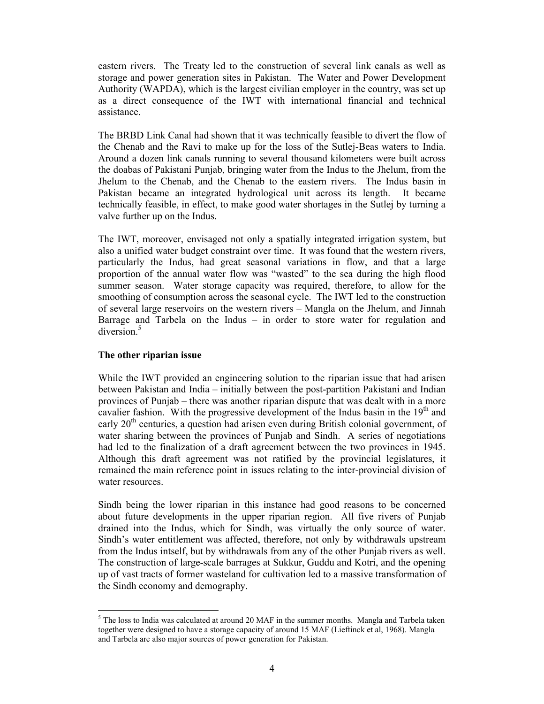eastern rivers. The Treaty led to the construction of several link canals as well as storage and power generation sites in Pakistan. The Water and Power Development Authority (WAPDA), which is the largest civilian employer in the country, was set up as a direct consequence of the IWT with international financial and technical assistance.

The BRBD Link Canal had shown that it was technically feasible to divert the flow of the Chenab and the Ravi to make up for the loss of the Sutlej-Beas waters to India. Around a dozen link canals running to several thousand kilometers were built across the doabas of Pakistani Punjab, bringing water from the Indus to the Jhelum, from the Jhelum to the Chenab, and the Chenab to the eastern rivers. The Indus basin in Pakistan became an integrated hydrological unit across its length. It became technically feasible, in effect, to make good water shortages in the Sutlej by turning a valve further up on the Indus.

The IWT, moreover, envisaged not only a spatially integrated irrigation system, but also a unified water budget constraint over time. It was found that the western rivers, particularly the Indus, had great seasonal variations in flow, and that a large proportion of the annual water flow was "wasted" to the sea during the high flood summer season. Water storage capacity was required, therefore, to allow for the smoothing of consumption across the seasonal cycle. The IWT led to the construction of several large reservoirs on the western rivers – Mangla on the Jhelum, and Jinnah Barrage and Tarbela on the Indus – in order to store water for regulation and diversion<sup>5</sup>

## **The other riparian issue**

While the IWT provided an engineering solution to the riparian issue that had arisen between Pakistan and India – initially between the post-partition Pakistani and Indian provinces of Punjab – there was another riparian dispute that was dealt with in a more cavalier fashion. With the progressive development of the Indus basin in the  $19<sup>th</sup>$  and early  $20<sup>th</sup>$  centuries, a question had arisen even during British colonial government, of water sharing between the provinces of Punjab and Sindh. A series of negotiations had led to the finalization of a draft agreement between the two provinces in 1945. Although this draft agreement was not ratified by the provincial legislatures, it remained the main reference point in issues relating to the inter-provincial division of water resources.

Sindh being the lower riparian in this instance had good reasons to be concerned about future developments in the upper riparian region. All five rivers of Punjab drained into the Indus, which for Sindh, was virtually the only source of water. Sindh's water entitlement was affected, therefore, not only by withdrawals upstream from the Indus intself, but by withdrawals from any of the other Punjab rivers as well. The construction of large-scale barrages at Sukkur, Guddu and Kotri, and the opening up of vast tracts of former wasteland for cultivation led to a massive transformation of the Sindh economy and demography.

 $\frac{1}{5}$  $<sup>5</sup>$  The loss to India was calculated at around 20 MAF in the summer months. Mangla and Tarbela taken</sup> together were designed to have a storage capacity of around 15 MAF (Lieftinck et al, 1968). Mangla and Tarbela are also major sources of power generation for Pakistan.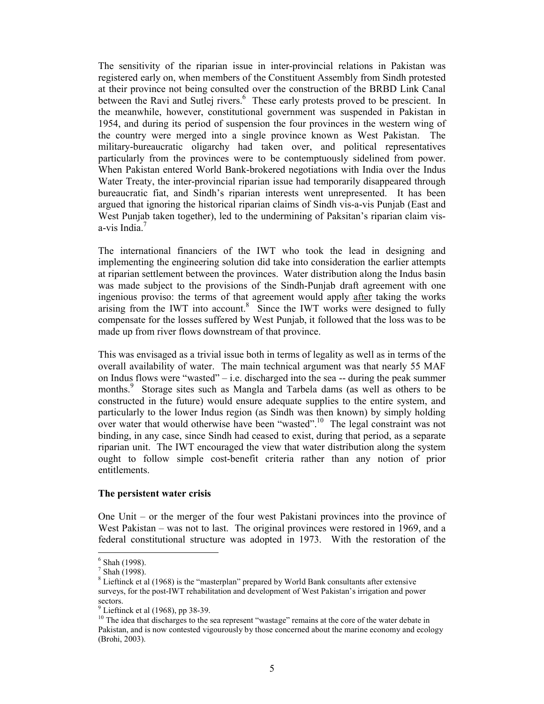The sensitivity of the riparian issue in inter-provincial relations in Pakistan was registered early on, when members of the Constituent Assembly from Sindh protested at their province not being consulted over the construction of the BRBD Link Canal between the Ravi and Sutlej rivers.<sup>6</sup> These early protests proved to be prescient. In the meanwhile, however, constitutional government was suspended in Pakistan in 1954, and during its period of suspension the four provinces in the western wing of the country were merged into a single province known as West Pakistan. The military-bureaucratic oligarchy had taken over, and political representatives particularly from the provinces were to be contemptuously sidelined from power. When Pakistan entered World Bank-brokered negotiations with India over the Indus Water Treaty, the inter-provincial riparian issue had temporarily disappeared through bureaucratic fiat, and Sindh's riparian interests went unrepresented. It has been argued that ignoring the historical riparian claims of Sindh vis-a-vis Punjab (East and West Punjab taken together), led to the undermining of Paksitan's riparian claim visa-vis India.<sup>7</sup>

The international financiers of the IWT who took the lead in designing and implementing the engineering solution did take into consideration the earlier attempts at riparian settlement between the provinces. Water distribution along the Indus basin was made subject to the provisions of the Sindh-Punjab draft agreement with one ingenious proviso: the terms of that agreement would apply after taking the works arising from the IWT into account. $8$  Since the IWT works were designed to fully compensate for the losses suffered by West Punjab, it followed that the loss was to be made up from river flows downstream of that province.

This was envisaged as a trivial issue both in terms of legality as well as in terms of the overall availability of water. The main technical argument was that nearly 55 MAF on Indus flows were "wasted" – i.e. discharged into the sea  $-$  during the peak summer months.<sup>9</sup> Storage sites such as Mangla and Tarbela dams (as well as others to be constructed in the future) would ensure adequate supplies to the entire system, and particularly to the lower Indus region (as Sindh was then known) by simply holding over water that would otherwise have been "wasted".<sup>10</sup> The legal constraint was not binding, in any case, since Sindh had ceased to exist, during that period, as a separate riparian unit. The IWT encouraged the view that water distribution along the system ought to follow simple cost-benefit criteria rather than any notion of prior entitlements.

#### **The persistent water crisis**

One Unit – or the merger of the four west Pakistani provinces into the province of West Pakistan – was not to last. The original provinces were restored in 1969, and a federal constitutional structure was adopted in 1973. With the restoration of the

 $\frac{1}{6}$ Shah (1998).

 $7$  Shah (1998).

 $8$  Lieftinck et al (1968) is the "masterplan" prepared by World Bank consultants after extensive surveys, for the post-IWT rehabilitation and development of West Pakistan's irrigation and power sectors.

 $<sup>9</sup>$  Lieftinck et al (1968), pp 38-39.</sup>

<sup>&</sup>lt;sup>10</sup> The idea that discharges to the sea represent "wastage" remains at the core of the water debate in Pakistan, and is now contested vigourously by those concerned about the marine economy and ecology (Brohi, 2003).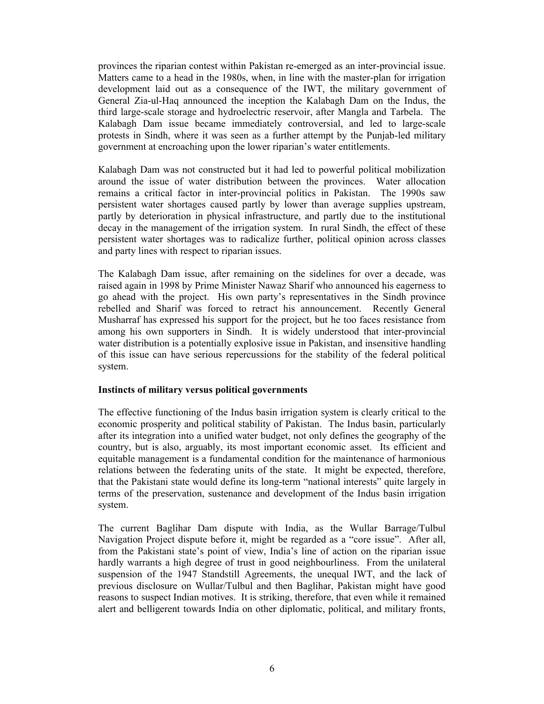provinces the riparian contest within Pakistan re-emerged as an inter-provincial issue. Matters came to a head in the 1980s, when, in line with the master-plan for irrigation development laid out as a consequence of the IWT, the military government of General Zia-ul-Haq announced the inception the Kalabagh Dam on the Indus, the third large-scale storage and hydroelectric reservoir, after Mangla and Tarbela. The Kalabagh Dam issue became immediately controversial, and led to large-scale protests in Sindh, where it was seen as a further attempt by the Punjab-led military government at encroaching upon the lower riparian's water entitlements.

Kalabagh Dam was not constructed but it had led to powerful political mobilization around the issue of water distribution between the provinces. Water allocation remains a critical factor in inter-provincial politics in Pakistan. The 1990s saw persistent water shortages caused partly by lower than average supplies upstream, partly by deterioration in physical infrastructure, and partly due to the institutional decay in the management of the irrigation system. In rural Sindh, the effect of these persistent water shortages was to radicalize further, political opinion across classes and party lines with respect to riparian issues.

The Kalabagh Dam issue, after remaining on the sidelines for over a decade, was raised again in 1998 by Prime Minister Nawaz Sharif who announced his eagerness to go ahead with the project. His own party's representatives in the Sindh province rebelled and Sharif was forced to retract his announcement. Recently General Musharraf has expressed his support for the project, but he too faces resistance from among his own supporters in Sindh. It is widely understood that inter-provincial water distribution is a potentially explosive issue in Pakistan, and insensitive handling of this issue can have serious repercussions for the stability of the federal political system.

## **Instincts of military versus political governments**

The effective functioning of the Indus basin irrigation system is clearly critical to the economic prosperity and political stability of Pakistan. The Indus basin, particularly after its integration into a unified water budget, not only defines the geography of the country, but is also, arguably, its most important economic asset. Its efficient and equitable management is a fundamental condition for the maintenance of harmonious relations between the federating units of the state. It might be expected, therefore, that the Pakistani state would define its long-term "national interests" quite largely in terms of the preservation, sustenance and development of the Indus basin irrigation system.

The current Baglihar Dam dispute with India, as the Wullar Barrage/Tulbul Navigation Project dispute before it, might be regarded as a "core issue". After all, from the Pakistani state's point of view, India's line of action on the riparian issue hardly warrants a high degree of trust in good neighbourliness. From the unilateral suspension of the 1947 Standstill Agreements, the unequal IWT, and the lack of previous disclosure on Wullar/Tulbul and then Baglihar, Pakistan might have good reasons to suspect Indian motives. It is striking, therefore, that even while it remained alert and belligerent towards India on other diplomatic, political, and military fronts,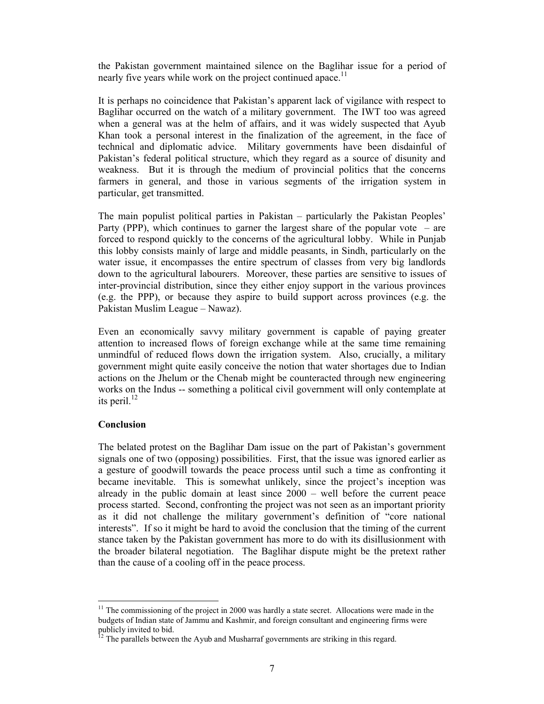the Pakistan government maintained silence on the Baglihar issue for a period of nearly five years while work on the project continued apace.<sup>11</sup>

It is perhaps no coincidence that Pakistan's apparent lack of vigilance with respect to Baglihar occurred on the watch of a military government. The IWT too was agreed when a general was at the helm of affairs, and it was widely suspected that Ayub Khan took a personal interest in the finalization of the agreement, in the face of technical and diplomatic advice. Military governments have been disdainful of Pakistan's federal political structure, which they regard as a source of disunity and weakness. But it is through the medium of provincial politics that the concerns farmers in general, and those in various segments of the irrigation system in particular, get transmitted.

The main populist political parties in Pakistan – particularly the Pakistan Peoples' Party (PPP), which continues to garner the largest share of the popular vote – are forced to respond quickly to the concerns of the agricultural lobby. While in Punjab this lobby consists mainly of large and middle peasants, in Sindh, particularly on the water issue, it encompasses the entire spectrum of classes from very big landlords down to the agricultural labourers. Moreover, these parties are sensitive to issues of inter-provincial distribution, since they either enjoy support in the various provinces (e.g. the PPP), or because they aspire to build support across provinces (e.g. the Pakistan Muslim League – Nawaz).

Even an economically savvy military government is capable of paying greater attention to increased flows of foreign exchange while at the same time remaining unmindful of reduced flows down the irrigation system. Also, crucially, a military government might quite easily conceive the notion that water shortages due to Indian actions on the Jhelum or the Chenab might be counteracted through new engineering works on the Indus -- something a political civil government will only contemplate at its peril. $^{12}$ 

## **Conclusion**

The belated protest on the Baglihar Dam issue on the part of Pakistan's government signals one of two (opposing) possibilities. First, that the issue was ignored earlier as a gesture of goodwill towards the peace process until such a time as confronting it became inevitable. This is somewhat unlikely, since the project's inception was already in the public domain at least since 2000 – well before the current peace process started. Second, confronting the project was not seen as an important priority as it did not challenge the military government's definition of "core national interests". If so it might be hard to avoid the conclusion that the timing of the current stance taken by the Pakistan government has more to do with its disillusionment with the broader bilateral negotiation. The Baglihar dispute might be the pretext rather than the cause of a cooling off in the peace process.

 $11$  The commissioning of the project in 2000 was hardly a state secret. Allocations were made in the budgets of Indian state of Jammu and Kashmir, and foreign consultant and engineering firms were publicly invited to bid.

 $1<sup>2</sup>$  The parallels between the Ayub and Musharraf governments are striking in this regard.